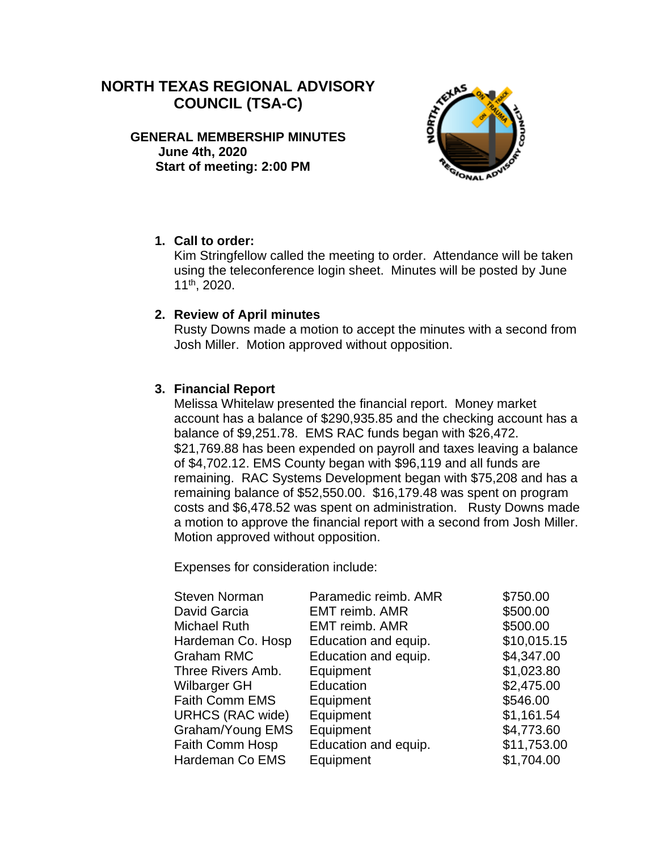# **NORTH TEXAS REGIONAL ADVISORY COUNCIL (TSA-C)**

**GENERAL MEMBERSHIP MINUTES June 4th, 2020 Start of meeting: 2:00 PM**



### **1. Call to order:**

Kim Stringfellow called the meeting to order. Attendance will be taken using the teleconference login sheet. Minutes will be posted by June 11th, 2020.

## **2. Review of April minutes**

Rusty Downs made a motion to accept the minutes with a second from Josh Miller. Motion approved without opposition.

# **3. Financial Report**

Melissa Whitelaw presented the financial report. Money market account has a balance of \$290,935.85 and the checking account has a balance of \$9,251.78. EMS RAC funds began with \$26,472. \$21,769.88 has been expended on payroll and taxes leaving a balance of \$4,702.12. EMS County began with \$96,119 and all funds are remaining. RAC Systems Development began with \$75,208 and has a remaining balance of \$52,550.00. \$16,179.48 was spent on program costs and \$6,478.52 was spent on administration. Rusty Downs made a motion to approve the financial report with a second from Josh Miller. Motion approved without opposition.

Expenses for consideration include:

| <b>Steven Norman</b>    | Paramedic reimb. AMR  | \$750.00    |
|-------------------------|-----------------------|-------------|
| David Garcia            | <b>EMT reimb. AMR</b> | \$500.00    |
| <b>Michael Ruth</b>     | <b>EMT reimb. AMR</b> | \$500.00    |
| Hardeman Co. Hosp       | Education and equip.  | \$10,015.15 |
| <b>Graham RMC</b>       | Education and equip.  | \$4,347.00  |
| Three Rivers Amb.       | Equipment             | \$1,023.80  |
| Wilbarger GH            | Education             | \$2,475.00  |
| <b>Faith Comm EMS</b>   | Equipment             | \$546.00    |
| <b>URHCS (RAC wide)</b> | Equipment             | \$1,161.54  |
| Graham/Young EMS        | Equipment             | \$4,773.60  |
| Faith Comm Hosp         | Education and equip.  | \$11,753.00 |
| Hardeman Co EMS         | Equipment             | \$1,704.00  |
|                         |                       |             |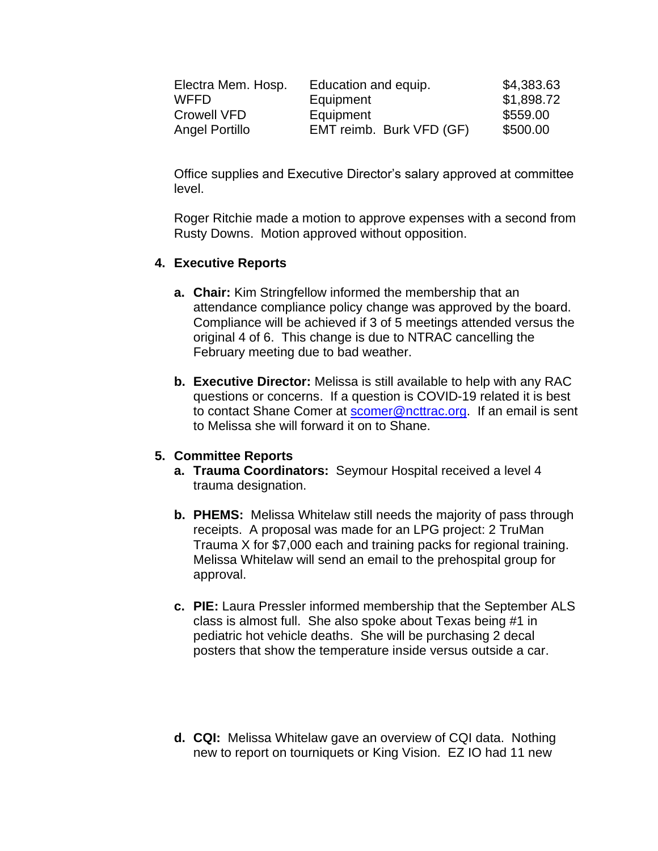| Electra Mem. Hosp. | Education and equip.     | \$4,383.63 |
|--------------------|--------------------------|------------|
| WFFD               | Equipment                | \$1,898.72 |
| Crowell VFD        | Equipment                | \$559.00   |
| Angel Portillo     | EMT reimb. Burk VFD (GF) | \$500.00   |

Office supplies and Executive Director's salary approved at committee level.

Roger Ritchie made a motion to approve expenses with a second from Rusty Downs. Motion approved without opposition.

#### **4. Executive Reports**

- **a. Chair:** Kim Stringfellow informed the membership that an attendance compliance policy change was approved by the board. Compliance will be achieved if 3 of 5 meetings attended versus the original 4 of 6. This change is due to NTRAC cancelling the February meeting due to bad weather.
- **b. Executive Director:** Melissa is still available to help with any RAC questions or concerns. If a question is COVID-19 related it is best to contact Shane Comer at [scomer@ncttrac.org.](mailto:scomer@ncttrac.org) If an email is sent to Melissa she will forward it on to Shane.

#### **5. Committee Reports**

- **a. Trauma Coordinators:** Seymour Hospital received a level 4 trauma designation.
- **b. PHEMS:** Melissa Whitelaw still needs the majority of pass through receipts. A proposal was made for an LPG project: 2 TruMan Trauma X for \$7,000 each and training packs for regional training. Melissa Whitelaw will send an email to the prehospital group for approval.
- **c. PIE:** Laura Pressler informed membership that the September ALS class is almost full. She also spoke about Texas being #1 in pediatric hot vehicle deaths. She will be purchasing 2 decal posters that show the temperature inside versus outside a car.
- **d. CQI:** Melissa Whitelaw gave an overview of CQI data. Nothing new to report on tourniquets or King Vision. EZ IO had 11 new